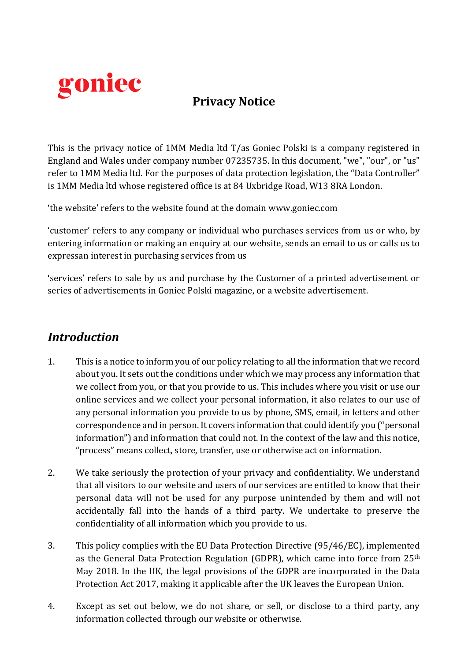

# **Privacy Notice**

This is the privacy notice of 1MM Media ltd T/as Goniec Polski is a company registered in England and Wales under company number 07235735. In this document, "we", "our", or "us" refer to 1MM Media ltd. For the purposes of data protection legislation, the "Data Controller" is 1MM Media ltd whose registered office is at 84 Uxbridge Road, W13 8RA London.

'the website' refers to the website found at the domain www.goniec.com

'customer' refers to any company or individual who purchases services from us or who, by entering information or making an enquiry at our website, sends an email to us or calls us to expressan interest in purchasing services from us

'services' refers to sale by us and purchase by the Customer of a printed advertisement or series of advertisements in Goniec Polski magazine, or a website advertisement.

## *Introduction*

- 1. This is a notice to inform you of our policy relating to all the information that we record about you. It sets out the conditions under which we may process any information that we collect from you, or that you provide to us. This includes where you visit or use our online services and we collect your personal information, it also relates to our use of any personal information you provide to us by phone, SMS, email, in letters and other correspondence and in person. It covers information that could identify you ("personal information") and information that could not. In the context of the law and this notice, "process" means collect, store, transfer, use or otherwise act on information.
- 2. We take seriously the protection of your privacy and confidentiality. We understand that all visitors to our website and users of our services are entitled to know that their personal data will not be used for any purpose unintended by them and will not accidentally fall into the hands of a third party. We undertake to preserve the confidentiality of all information which you provide to us.
- 3. This policy complies with the EU Data Protection Directive (95/46/EC), implemented as the General Data Protection Regulation (GDPR), which came into force from 25<sup>th</sup> May 2018. In the UK, the legal provisions of the GDPR are incorporated in the Data Protection Act 2017, making it applicable after the UK leaves the European Union.
- 4. Except as set out below, we do not share, or sell, or disclose to a third party, any information collected through our website or otherwise.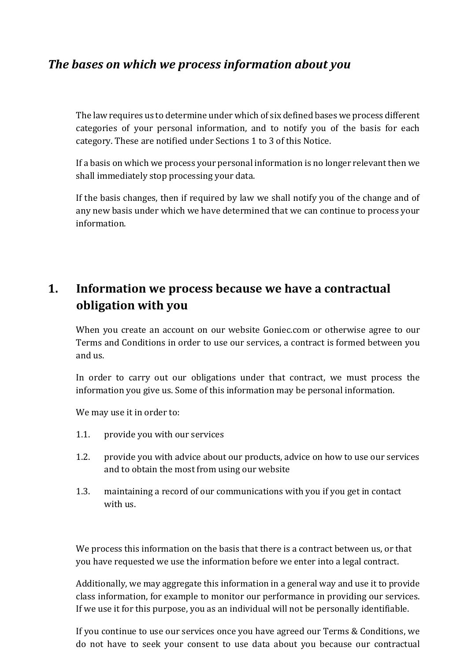# *The bases on which we process information about you*

The law requires us to determine under which of six defined bases we process different categories of your personal information, and to notify you of the basis for each category. These are notified under Sections 1 to 3 of this Notice.

If a basis on which we process your personal information is no longer relevant then we shall immediately stop processing your data.

If the basis changes, then if required by law we shall notify you of the change and of any new basis under which we have determined that we can continue to process your information.

# **1. Information we process because we have a contractual obligation with you**

When you create an account on our website Goniec.com or otherwise agree to our Terms and Conditions in order to use our services, a contract is formed between you and us.

In order to carry out our obligations under that contract, we must process the information you give us. Some of this information may be personal information.

We may use it in order to:

- 1.1. provide you with our services
- 1.2. provide you with advice about our products, advice on how to use our services and to obtain the most from using our website
- 1.3. maintaining a record of our communications with you if you get in contact with us.

We process this information on the basis that there is a contract between us, or that you have requested we use the information before we enter into a legal contract.

Additionally, we may aggregate this information in a general way and use it to provide class information, for example to monitor our performance in providing our services. If we use it for this purpose, you as an individual will not be personally identifiable.

If you continue to use our services once you have agreed our Terms & Conditions, we do not have to seek your consent to use data about you because our contractual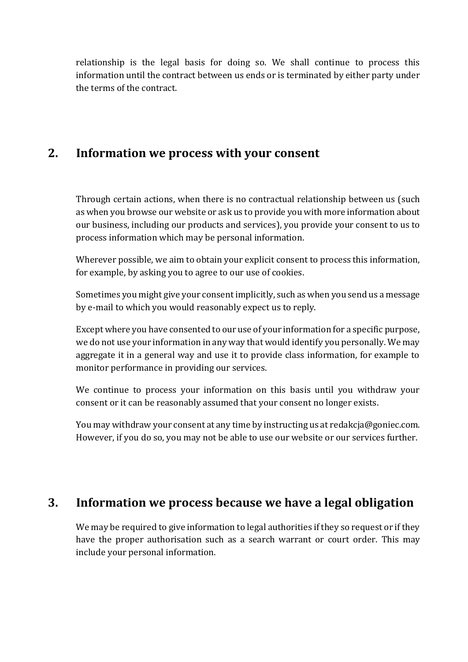relationship is the legal basis for doing so. We shall continue to process this information until the contract between us ends or is terminated by either party under the terms of the contract.

## **2. Information we process with your consent**

Through certain actions, when there is no contractual relationship between us (such as when you browse our website or ask us to provide you with more information about our business, including our products and services), you provide your consent to us to process information which may be personal information.

Wherever possible, we aim to obtain your explicit consent to process this information, for example, by asking you to agree to our use of cookies.

Sometimes you might give your consent implicitly, such as when you send us a message by e-mail to which you would reasonably expect us to reply.

Except where you have consented to our use of your information for a specific purpose, we do not use your information in any way that would identify you personally. We may aggregate it in a general way and use it to provide class information, for example to monitor performance in providing our services.

We continue to process your information on this basis until you withdraw your consent or it can be reasonably assumed that your consent no longer exists.

You may withdraw your consent at any time by instructing us at redakcja@goniec.com. However, if you do so, you may not be able to use our website or our services further.

### **3. Information we process because we have a legal obligation**

We may be required to give information to legal authorities if they so request or if they have the proper authorisation such as a search warrant or court order. This may include your personal information.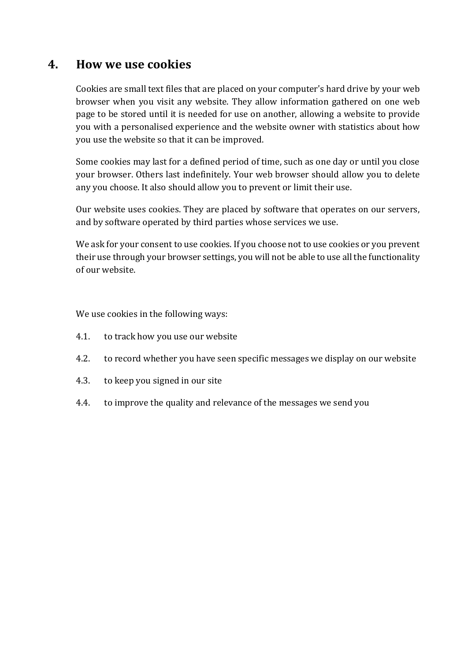### **4. How we use cookies**

Cookies are small text files that are placed on your computer's hard drive by your web browser when you visit any website. They allow information gathered on one web page to be stored until it is needed for use on another, allowing a website to provide you with a personalised experience and the website owner with statistics about how you use the website so that it can be improved.

Some cookies may last for a defined period of time, such as one day or until you close your browser. Others last indefinitely. Your web browser should allow you to delete any you choose. It also should allow you to prevent or limit their use.

Our website uses cookies. They are placed by software that operates on our servers, and by software operated by third parties whose services we use.

We ask for your consent to use cookies. If you choose not to use cookies or you prevent their use through your browser settings, you will not be able to use all the functionality of our website.

We use cookies in the following ways:

- 4.1. to track how you use our website
- 4.2. to record whether you have seen specific messages we display on our website
- 4.3. to keep you signed in our site
- 4.4. to improve the quality and relevance of the messages we send you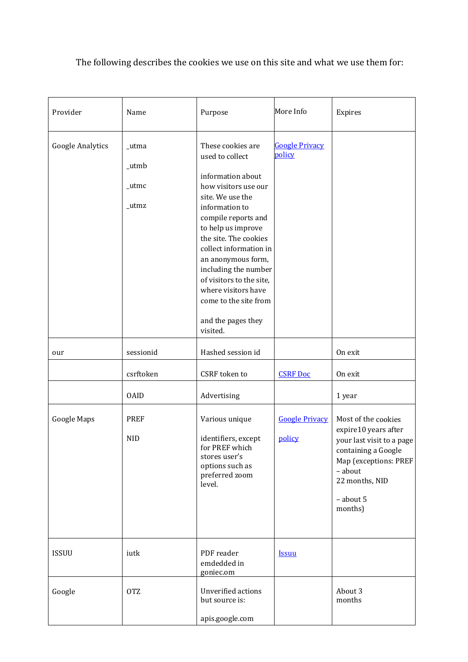The following describes the cookies we use on this site and what we use them for:

| Provider                | Name                             | Purpose                                                                                                                                                                                                                                                                                                                                                                             | More Info                       | Expires                                                                                                                                                                       |
|-------------------------|----------------------------------|-------------------------------------------------------------------------------------------------------------------------------------------------------------------------------------------------------------------------------------------------------------------------------------------------------------------------------------------------------------------------------------|---------------------------------|-------------------------------------------------------------------------------------------------------------------------------------------------------------------------------|
| <b>Google Analytics</b> | _utma<br>_utmb<br>_utmc<br>_utmz | These cookies are<br>used to collect<br>information about<br>how visitors use our<br>site. We use the<br>information to<br>compile reports and<br>to help us improve<br>the site. The cookies<br>collect information in<br>an anonymous form,<br>including the number<br>of visitors to the site,<br>where visitors have<br>come to the site from<br>and the pages they<br>visited. | <b>Google Privacy</b><br>policy |                                                                                                                                                                               |
| our                     | sessionid<br>csrftoken           | Hashed session id<br>CSRF token to                                                                                                                                                                                                                                                                                                                                                  | <b>CSRF Doc</b>                 | On exit<br>On exit                                                                                                                                                            |
|                         | <b>OAID</b>                      | Advertising                                                                                                                                                                                                                                                                                                                                                                         |                                 | 1 year                                                                                                                                                                        |
| Google Maps             | <b>PREF</b><br><b>NID</b>        | Various unique<br>identifiers, except<br>for PREF which<br>stores user's<br>options such as<br>preferred zoom<br>level.                                                                                                                                                                                                                                                             | <b>Google Privacy</b><br>policy | Most of the cookies<br>expire10 years after<br>your last visit to a page<br>containing a Google<br>Map (exceptions: PREF<br>- about<br>22 months, NID<br>- about 5<br>months) |
| <b>ISSUU</b>            | iutk                             | PDF reader<br>emdedded in<br>goniec.om                                                                                                                                                                                                                                                                                                                                              | <b>Issuu</b>                    |                                                                                                                                                                               |
| Google                  | <b>OTZ</b>                       | Unverified actions<br>but source is:<br>apis.google.com                                                                                                                                                                                                                                                                                                                             |                                 | About 3<br>months                                                                                                                                                             |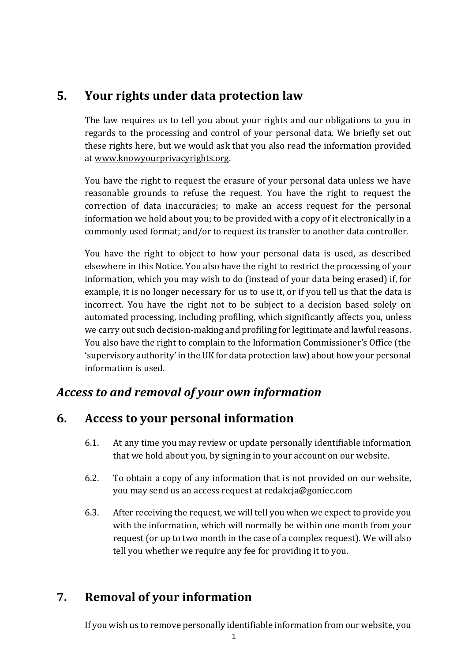# **5. Your rights under data protection law**

The law requires us to tell you about your rights and our obligations to you in regards to the processing and control of your personal data. We briefly set out these rights here, but we would ask that you also read the information provided at [www.knowyourprivacyrights.org.](http://www.knowyourprivacyrights.org/)

You have the right to request the erasure of your personal data unless we have reasonable grounds to refuse the request. You have the right to request the correction of data inaccuracies; to make an access request for the personal information we hold about you; to be provided with a copy of it electronically in a commonly used format; and/or to request its transfer to another data controller.

You have the right to object to how your personal data is used, as described elsewhere in this Notice. You also have the right to restrict the processing of your information, which you may wish to do (instead of your data being erased) if, for example, it is no longer necessary for us to use it, or if you tell us that the data is incorrect. You have the right not to be subject to a decision based solely on automated processing, including profiling, which significantly affects you, unless we carry out such decision-making and profiling for legitimate and lawful reasons. You also have the right to complain to the Information Commissioner's Office (the 'supervisory authority' in the UK for data protection law) about how your personal information is used.

### *Access to and removal of your own information*

### **6. Access to your personal information**

- 6.1. At any time you may review or update personally identifiable information that we hold about you, by signing in to your account on our website.
- 6.2. To obtain a copy of any information that is not provided on our website, you may send us an access request at redakcja@goniec.com
- 6.3. After receiving the request, we will tell you when we expect to provide you with the information, which will normally be within one month from your request (or up to two month in the case of a complex request). We will also tell you whether we require any fee for providing it to you.

# **7. Removal of your information**

If you wish us to remove personally identifiable information from our website, you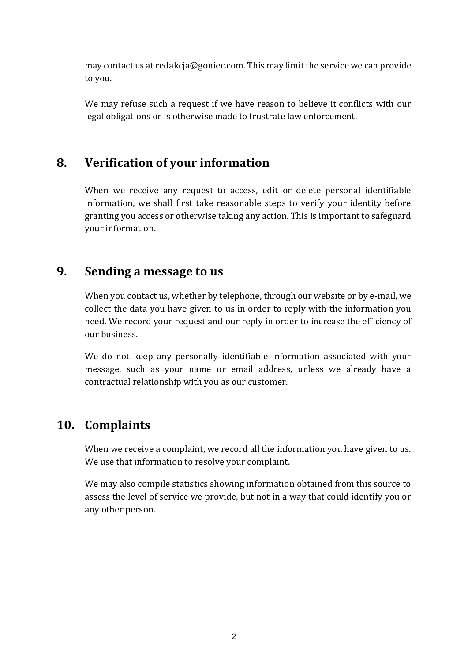may contact us at redakcja@goniec.com. This may limit the service we can provide to you.

We may refuse such a request if we have reason to believe it conflicts with our legal obligations or is otherwise made to frustrate law enforcement.

# **8. Verification of your information**

When we receive any request to access, edit or delete personal identifiable information, we shall first take reasonable steps to verify your identity before granting you access or otherwise taking any action. This is important to safeguard your information.

### **9. Sending a message to us**

When you contact us, whether by telephone, through our website or by e-mail, we collect the data you have given to us in order to reply with the information you need. We record your request and our reply in order to increase the efficiency of our business.

We do not keep any personally identifiable information associated with your message, such as your name or email address, unless we already have a contractual relationship with you as our customer.

# **10. Complaints**

When we receive a complaint, we record all the information you have given to us. We use that information to resolve your complaint.

We may also compile statistics showing information obtained from this source to assess the level of service we provide, but not in a way that could identify you or any other person.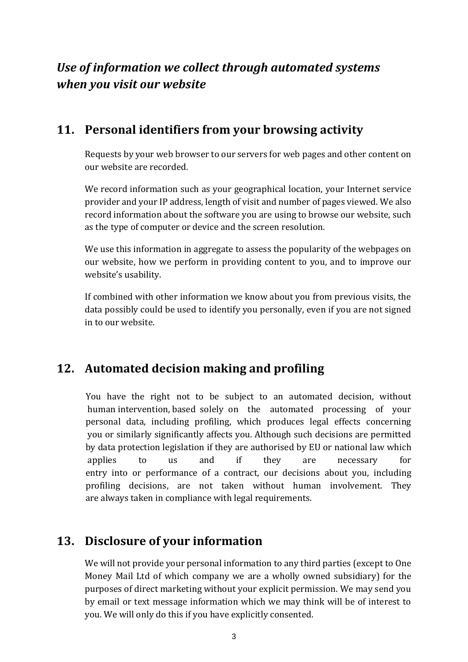# *Use of information we collect through automated systems when you visit our website*

## **11. Personal identifiers from your browsing activity**

Requests by your web browser to our servers for web pages and other content on our website are recorded.

We record information such as your geographical location, your Internet service provider and your IP address, length of visit and number of pages viewed. We also record information about the software you are using to browse our website, such as the type of computer or device and the screen resolution.

We use this information in aggregate to assess the popularity of the webpages on our website, how we perform in providing content to you, and to improve our website's usability.

If combined with other information we know about you from previous visits, the data possibly could be used to identify you personally, even if you are not signed in to our website.

# **12. Automated decision making and profiling**

 You have the right not to be subject to an automated decision, without human intervention, based solely on the automated processing of your personal data, including profiling, which produces legal effects concerning you or similarly significantly affects you. Although such decisions are permitted by data protection legislation if they are authorised by EU or national law which applies to us and if they are necessary for entry into or performance of a contract, our decisions about you, including profiling decisions, are not taken without human involvement. They are always taken in compliance with legal requirements.

# **13. Disclosure of your information**

We will not provide your personal information to any third parties (except to One Money Mail Ltd of which company we are a wholly owned subsidiary) for the purposes of direct marketing without your explicit permission. We may send you by email or text message information which we may think will be of interest to you. We will only do this if you have explicitly consented.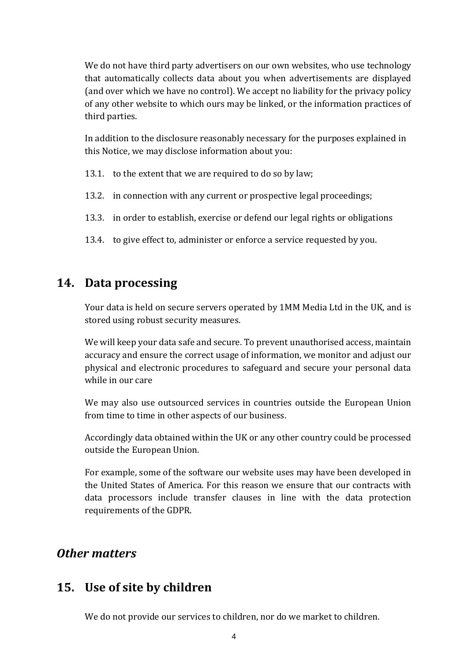We do not have third party advertisers on our own websites, who use technology that automatically collects data about you when advertisements are displayed (and over which we have no control). We accept no liability for the privacy policy of any other website to which ours may be linked, or the information practices of third parties.

In addition to the disclosure reasonably necessary for the purposes explained in this Notice, we may disclose information about you:

- 13.1. to the extent that we are required to do so by law;
- 13.2. in connection with any current or prospective legal proceedings;
- 13.3. in order to establish, exercise or defend our legal rights or obligations
- 13.4. to give effect to, administer or enforce a service requested by you.

#### **14. Data processing**

Your data is held on secure servers operated by 1MM Media Ltd in the UK, and is stored using robust security measures.

We will keep your data safe and secure. To prevent unauthorised access, maintain accuracy and ensure the correct usage of information, we monitor and adjust our physical and electronic procedures to safeguard and secure your personal data while in our care

We may also use outsourced services in countries outside the European Union from time to time in other aspects of our business.

Accordingly data obtained within the UK or any other country could be processed outside the European Union.

For example, some of the software our website uses may have been developed in the United States of America. For this reason we ensure that our contracts with data processors include transfer clauses in line with the data protection requirements of the GDPR.

### *Other matters*

### **15. Use of site by children**

We do not provide our services to children, nor do we market to children.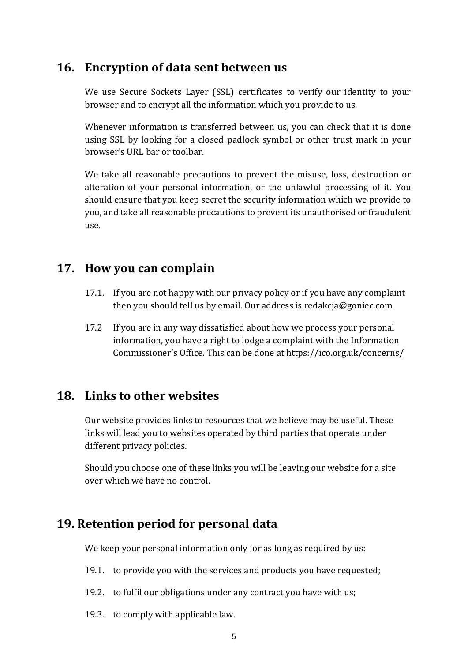### **16. Encryption of data sent between us**

We use Secure Sockets Layer (SSL) certificates to verify our identity to your browser and to encrypt all the information which you provide to us.

Whenever information is transferred between us, you can check that it is done using SSL by looking for a closed padlock symbol or other trust mark in your browser's URL bar or toolbar.

We take all reasonable precautions to prevent the misuse, loss, destruction or alteration of your personal information, or the unlawful processing of it. You should ensure that you keep secret the security information which we provide to you, and take all reasonable precautions to prevent its unauthorised or fraudulent use.

### **17. How you can complain**

- 17.1. If you are not happy with our privacy policy or if you have any complaint then you should tell us by email. Our address is redakcja@goniec.com
- 17.2 If you are in any way dissatisfied about how we process your personal information, you have a right to lodge a complaint with the Information Commissioner's Office. This can be done at<https://ico.org.uk/concerns/>

### **18. Links to other websites**

Our website provides links to resources that we believe may be useful. These links will lead you to websites operated by third parties that operate under different privacy policies.

Should you choose one of these links you will be leaving our website for a site over which we have no control.

# **19. Retention period for personal data**

We keep your personal information only for as long as required by us:

- 19.1. to provide you with the services and products you have requested;
- 19.2. to fulfil our obligations under any contract you have with us;
- 19.3. to comply with applicable law.